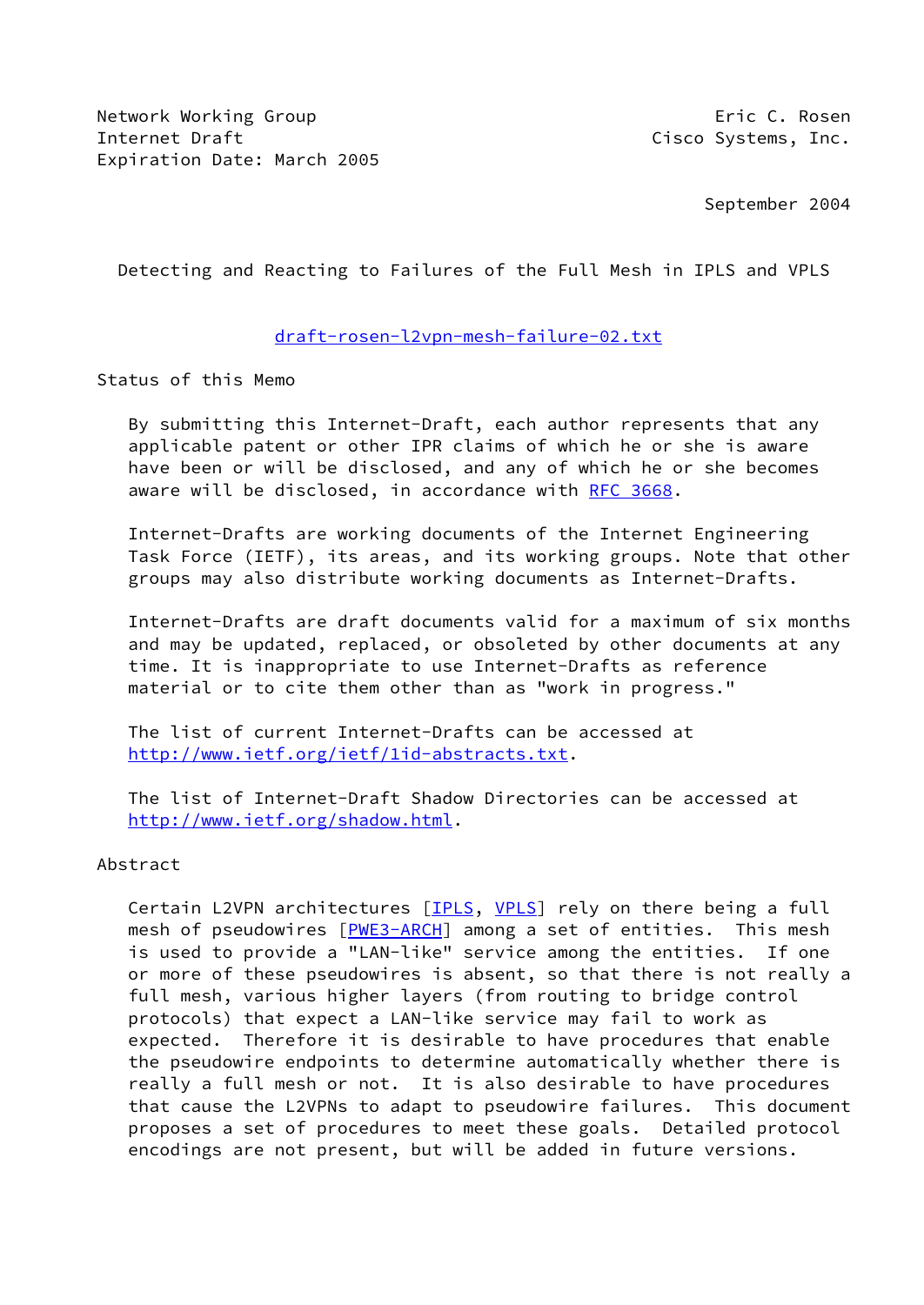Network Working Group **Example 20** and the United States of the Eric C. Rosen Internet Draft Cisco Systems, Inc. Expiration Date: March 2005

September 2004

Detecting and Reacting to Failures of the Full Mesh in IPLS and VPLS

## [draft-rosen-l2vpn-mesh-failure-02.txt](https://datatracker.ietf.org/doc/pdf/draft-rosen-l2vpn-mesh-failure-02.txt)

Status of this Memo

 By submitting this Internet-Draft, each author represents that any applicable patent or other IPR claims of which he or she is aware have been or will be disclosed, and any of which he or she becomes aware will be disclosed, in accordance with [RFC 3668.](https://datatracker.ietf.org/doc/pdf/rfc3668)

 Internet-Drafts are working documents of the Internet Engineering Task Force (IETF), its areas, and its working groups. Note that other groups may also distribute working documents as Internet-Drafts.

 Internet-Drafts are draft documents valid for a maximum of six months and may be updated, replaced, or obsoleted by other documents at any time. It is inappropriate to use Internet-Drafts as reference material or to cite them other than as "work in progress."

 The list of current Internet-Drafts can be accessed at <http://www.ietf.org/ietf/1id-abstracts.txt>.

 The list of Internet-Draft Shadow Directories can be accessed at <http://www.ietf.org/shadow.html>.

Abstract

Certain L2VPN architectures [\[IPLS](#page-6-0), [VPLS\]](#page-7-0) rely on there being a full mesh of pseudowires [\[PWE3-ARCH](#page-7-1)] among a set of entities. This mesh is used to provide a "LAN-like" service among the entities. If one or more of these pseudowires is absent, so that there is not really a full mesh, various higher layers (from routing to bridge control protocols) that expect a LAN-like service may fail to work as expected. Therefore it is desirable to have procedures that enable the pseudowire endpoints to determine automatically whether there is really a full mesh or not. It is also desirable to have procedures that cause the L2VPNs to adapt to pseudowire failures. This document proposes a set of procedures to meet these goals. Detailed protocol encodings are not present, but will be added in future versions.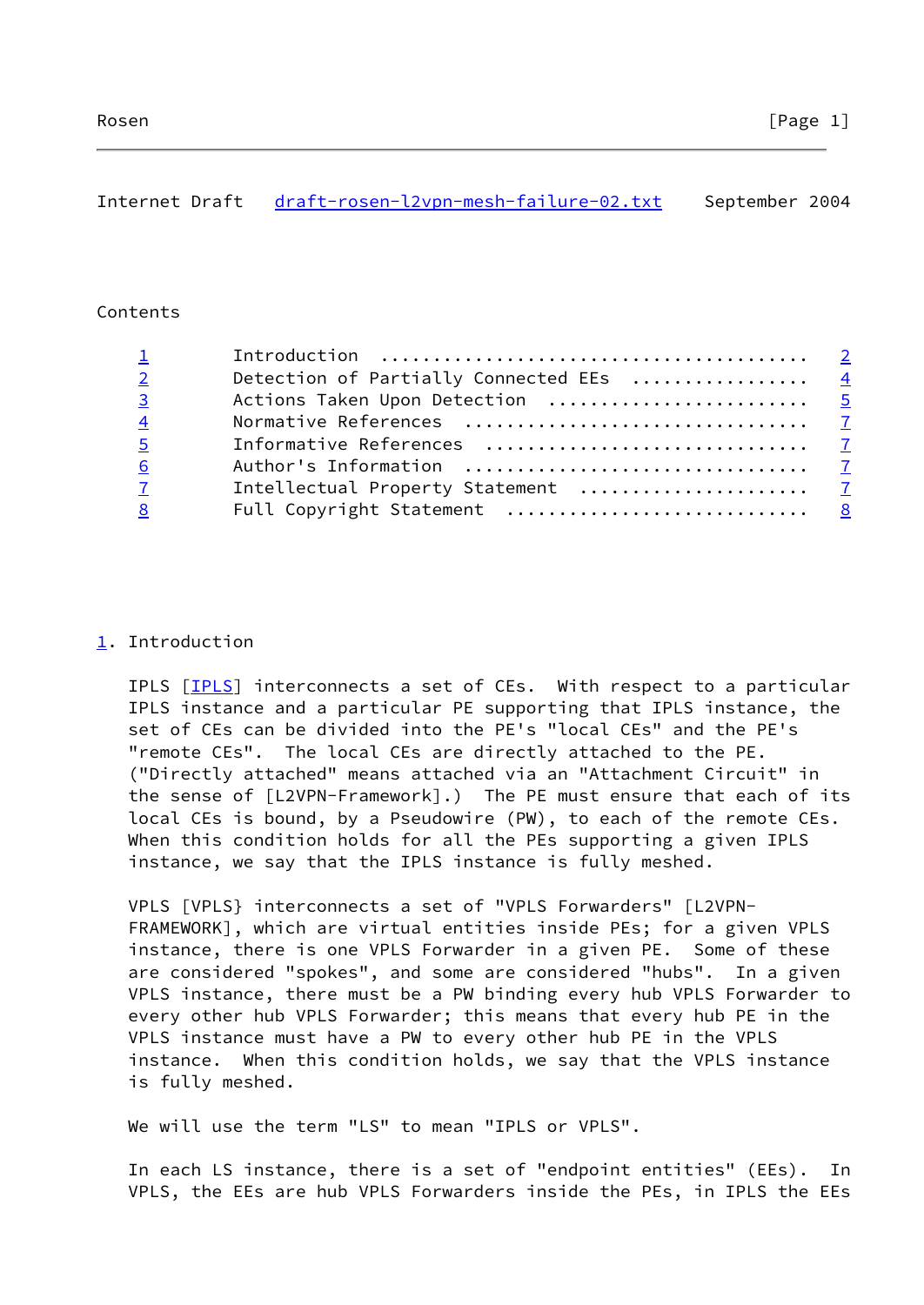# <span id="page-1-1"></span>Internet Draft [draft-rosen-l2vpn-mesh-failure-02.txt](https://datatracker.ietf.org/doc/pdf/draft-rosen-l2vpn-mesh-failure-02.txt) September 2004

### Contents

| Detection of Partially Connected EEs  4<br>$2 \left( \frac{1}{2} \right)$ |  |
|---------------------------------------------------------------------------|--|
| Actions Taken Upon Detection  5<br>$\overline{3}$ and $\overline{3}$      |  |
| $\overline{4}$                                                            |  |
|                                                                           |  |
|                                                                           |  |
|                                                                           |  |
|                                                                           |  |
|                                                                           |  |

## <span id="page-1-0"></span>[1](#page-1-0). Introduction

IPLS [\[IPLS](#page-6-0)] interconnects a set of CEs. With respect to a particular IPLS instance and a particular PE supporting that IPLS instance, the set of CEs can be divided into the PE's "local CEs" and the PE's "remote CEs". The local CEs are directly attached to the PE. ("Directly attached" means attached via an "Attachment Circuit" in the sense of [L2VPN-Framework].) The PE must ensure that each of its local CEs is bound, by a Pseudowire (PW), to each of the remote CEs. When this condition holds for all the PEs supporting a given IPLS instance, we say that the IPLS instance is fully meshed.

 VPLS [VPLS} interconnects a set of "VPLS Forwarders" [L2VPN- FRAMEWORK], which are virtual entities inside PEs; for a given VPLS instance, there is one VPLS Forwarder in a given PE. Some of these are considered "spokes", and some are considered "hubs". In a given VPLS instance, there must be a PW binding every hub VPLS Forwarder to every other hub VPLS Forwarder; this means that every hub PE in the VPLS instance must have a PW to every other hub PE in the VPLS instance. When this condition holds, we say that the VPLS instance is fully meshed.

We will use the term "LS" to mean "IPLS or VPLS".

 In each LS instance, there is a set of "endpoint entities" (EEs). In VPLS, the EEs are hub VPLS Forwarders inside the PEs, in IPLS the EEs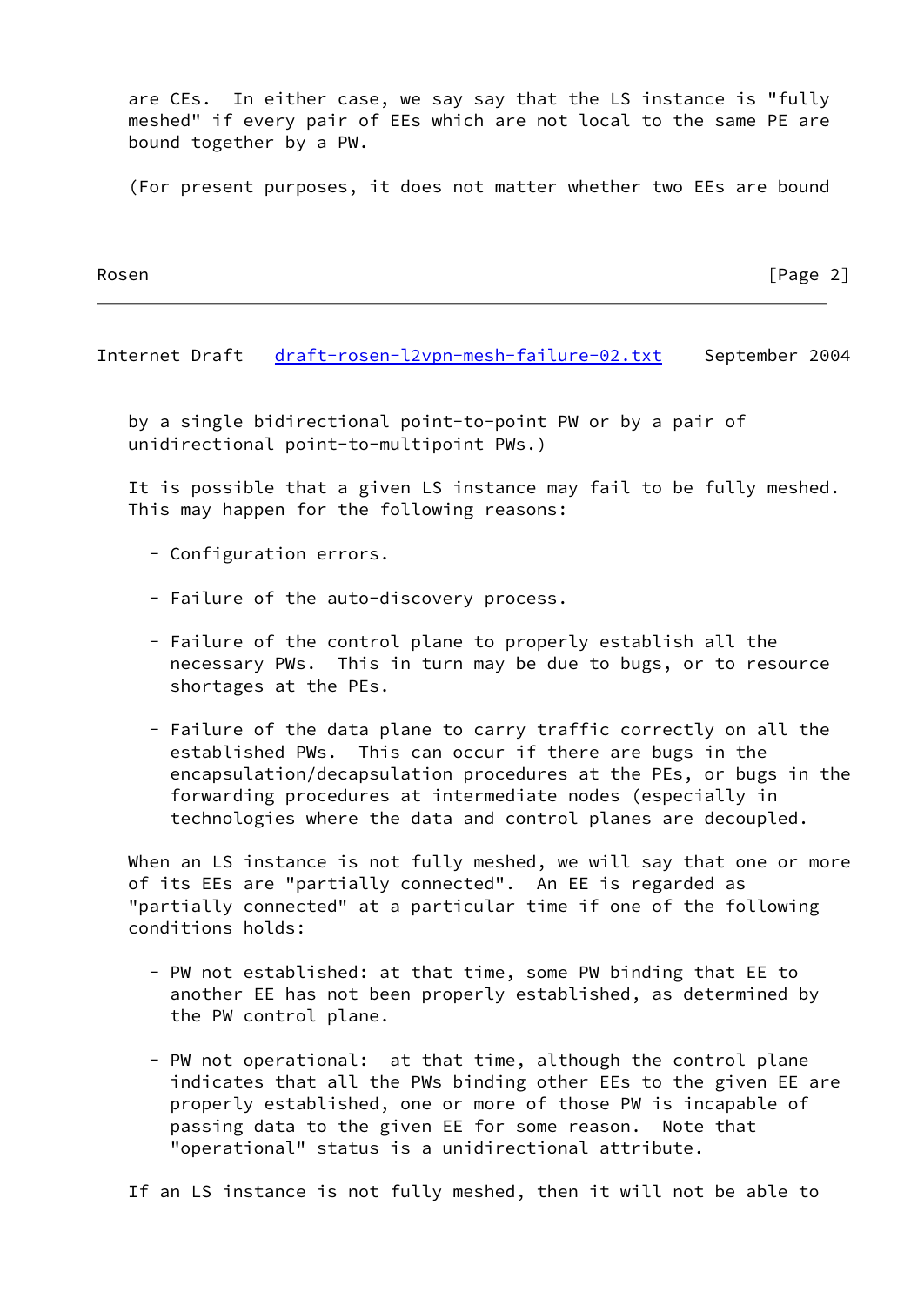are CEs. In either case, we say say that the LS instance is "fully meshed" if every pair of EEs which are not local to the same PE are bound together by a PW.

(For present purposes, it does not matter whether two EEs are bound

Rosen **Francisco Community** Rosen **Francisco Community Community Community** Frage 2

Internet Draft [draft-rosen-l2vpn-mesh-failure-02.txt](https://datatracker.ietf.org/doc/pdf/draft-rosen-l2vpn-mesh-failure-02.txt) September 2004

 by a single bidirectional point-to-point PW or by a pair of unidirectional point-to-multipoint PWs.)

 It is possible that a given LS instance may fail to be fully meshed. This may happen for the following reasons:

- Configuration errors.
- Failure of the auto-discovery process.
- Failure of the control plane to properly establish all the necessary PWs. This in turn may be due to bugs, or to resource shortages at the PEs.
- Failure of the data plane to carry traffic correctly on all the established PWs. This can occur if there are bugs in the encapsulation/decapsulation procedures at the PEs, or bugs in the forwarding procedures at intermediate nodes (especially in technologies where the data and control planes are decoupled.

When an LS instance is not fully meshed, we will say that one or more of its EEs are "partially connected". An EE is regarded as "partially connected" at a particular time if one of the following conditions holds:

- PW not established: at that time, some PW binding that EE to another EE has not been properly established, as determined by the PW control plane.
- PW not operational: at that time, although the control plane indicates that all the PWs binding other EEs to the given EE are properly established, one or more of those PW is incapable of passing data to the given EE for some reason. Note that "operational" status is a unidirectional attribute.

If an LS instance is not fully meshed, then it will not be able to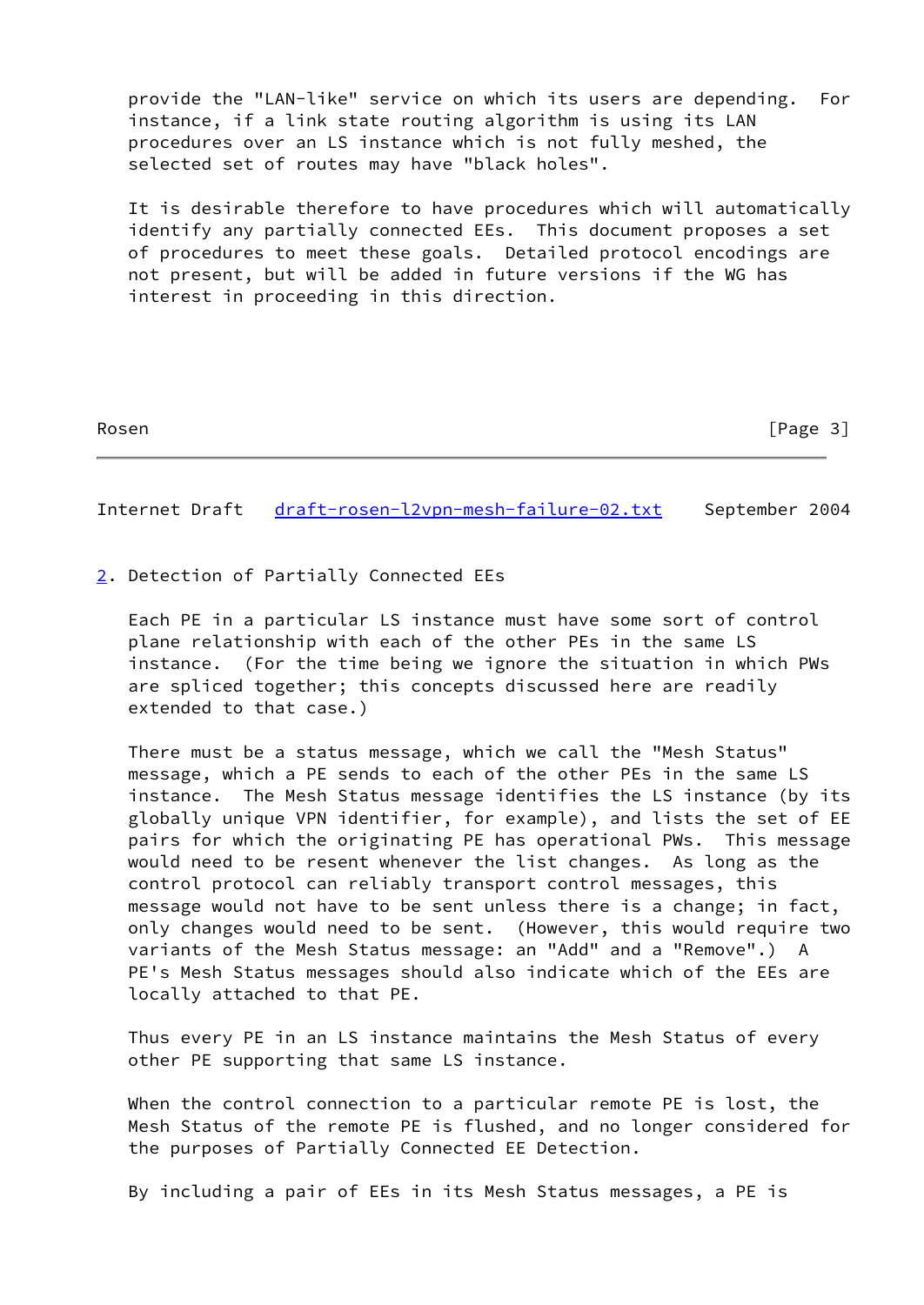provide the "LAN-like" service on which its users are depending. For instance, if a link state routing algorithm is using its LAN procedures over an LS instance which is not fully meshed, the selected set of routes may have "black holes".

 It is desirable therefore to have procedures which will automatically identify any partially connected EEs. This document proposes a set of procedures to meet these goals. Detailed protocol encodings are not present, but will be added in future versions if the WG has interest in proceeding in this direction.

| Rosen |
|-------|
|-------|

 $[Page 3]$ 

<span id="page-3-1"></span>Internet Draft [draft-rosen-l2vpn-mesh-failure-02.txt](https://datatracker.ietf.org/doc/pdf/draft-rosen-l2vpn-mesh-failure-02.txt) September 2004

<span id="page-3-0"></span>[2](#page-3-0). Detection of Partially Connected EEs

 Each PE in a particular LS instance must have some sort of control plane relationship with each of the other PEs in the same LS instance. (For the time being we ignore the situation in which PWs are spliced together; this concepts discussed here are readily extended to that case.)

 There must be a status message, which we call the "Mesh Status" message, which a PE sends to each of the other PEs in the same LS instance. The Mesh Status message identifies the LS instance (by its globally unique VPN identifier, for example), and lists the set of EE pairs for which the originating PE has operational PWs. This message would need to be resent whenever the list changes. As long as the control protocol can reliably transport control messages, this message would not have to be sent unless there is a change; in fact, only changes would need to be sent. (However, this would require two variants of the Mesh Status message: an "Add" and a "Remove".) A PE's Mesh Status messages should also indicate which of the EEs are locally attached to that PE.

 Thus every PE in an LS instance maintains the Mesh Status of every other PE supporting that same LS instance.

 When the control connection to a particular remote PE is lost, the Mesh Status of the remote PE is flushed, and no longer considered for the purposes of Partially Connected EE Detection.

By including a pair of EEs in its Mesh Status messages, a PE is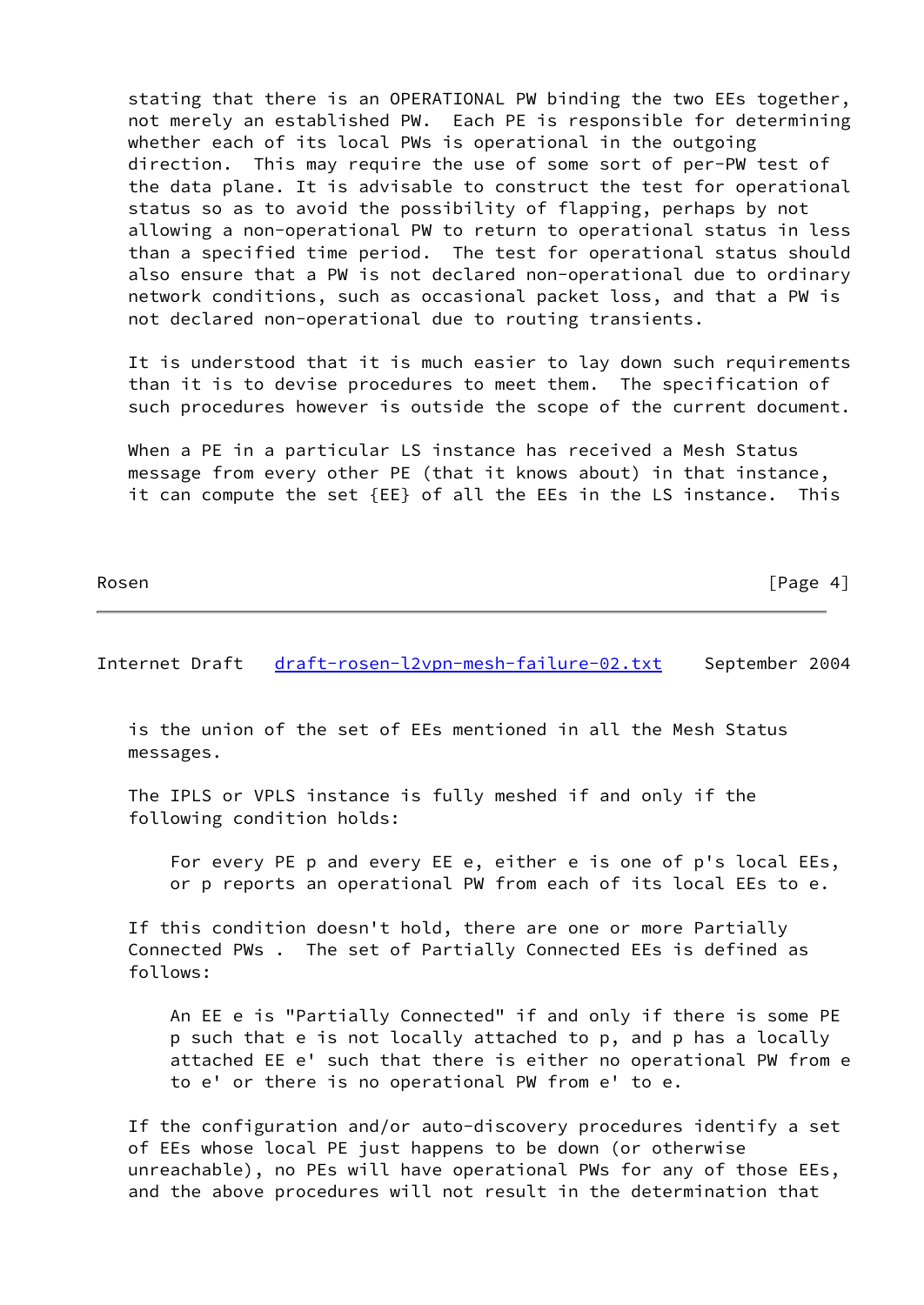stating that there is an OPERATIONAL PW binding the two EEs together, not merely an established PW. Each PE is responsible for determining whether each of its local PWs is operational in the outgoing direction. This may require the use of some sort of per-PW test of the data plane. It is advisable to construct the test for operational status so as to avoid the possibility of flapping, perhaps by not allowing a non-operational PW to return to operational status in less than a specified time period. The test for operational status should also ensure that a PW is not declared non-operational due to ordinary network conditions, such as occasional packet loss, and that a PW is not declared non-operational due to routing transients.

 It is understood that it is much easier to lay down such requirements than it is to devise procedures to meet them. The specification of such procedures however is outside the scope of the current document.

 When a PE in a particular LS instance has received a Mesh Status message from every other PE (that it knows about) in that instance, it can compute the set {EE} of all the EEs in the LS instance. This

| Ros<br>en |  |
|-----------|--|
|-----------|--|

[Page  $4$ ]

<span id="page-4-0"></span>Internet Draft [draft-rosen-l2vpn-mesh-failure-02.txt](https://datatracker.ietf.org/doc/pdf/draft-rosen-l2vpn-mesh-failure-02.txt) September 2004

 is the union of the set of EEs mentioned in all the Mesh Status messages.

 The IPLS or VPLS instance is fully meshed if and only if the following condition holds:

 For every PE p and every EE e, either e is one of p's local EEs, or p reports an operational PW from each of its local EEs to e.

 If this condition doesn't hold, there are one or more Partially Connected PWs . The set of Partially Connected EEs is defined as follows:

 An EE e is "Partially Connected" if and only if there is some PE p such that e is not locally attached to p, and p has a locally attached EE e' such that there is either no operational PW from e to e' or there is no operational PW from e' to e.

 If the configuration and/or auto-discovery procedures identify a set of EEs whose local PE just happens to be down (or otherwise unreachable), no PEs will have operational PWs for any of those EEs, and the above procedures will not result in the determination that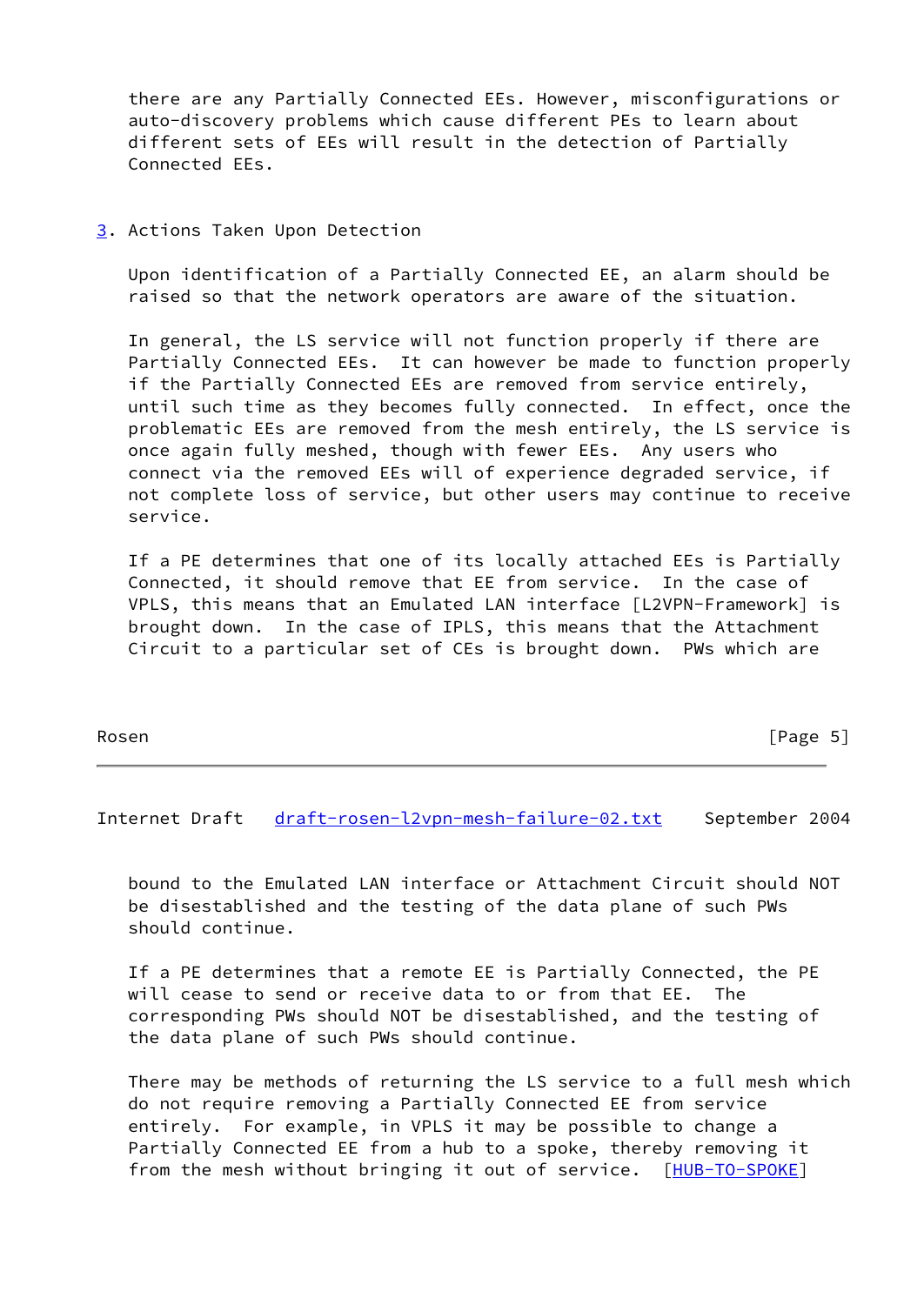there are any Partially Connected EEs. However, misconfigurations or auto-discovery problems which cause different PEs to learn about different sets of EEs will result in the detection of Partially Connected EEs.

<span id="page-5-0"></span>[3](#page-5-0). Actions Taken Upon Detection

 Upon identification of a Partially Connected EE, an alarm should be raised so that the network operators are aware of the situation.

 In general, the LS service will not function properly if there are Partially Connected EEs. It can however be made to function properly if the Partially Connected EEs are removed from service entirely, until such time as they becomes fully connected. In effect, once the problematic EEs are removed from the mesh entirely, the LS service is once again fully meshed, though with fewer EEs. Any users who connect via the removed EEs will of experience degraded service, if not complete loss of service, but other users may continue to receive service.

 If a PE determines that one of its locally attached EEs is Partially Connected, it should remove that EE from service. In the case of VPLS, this means that an Emulated LAN interface [L2VPN-Framework] is brought down. In the case of IPLS, this means that the Attachment Circuit to a particular set of CEs is brought down. PWs which are

| [Page 5] |  |
|----------|--|
|          |  |

Internet Draft [draft-rosen-l2vpn-mesh-failure-02.txt](https://datatracker.ietf.org/doc/pdf/draft-rosen-l2vpn-mesh-failure-02.txt) September 2004

 bound to the Emulated LAN interface or Attachment Circuit should NOT be disestablished and the testing of the data plane of such PWs should continue.

 If a PE determines that a remote EE is Partially Connected, the PE will cease to send or receive data to or from that EE. The corresponding PWs should NOT be disestablished, and the testing of the data plane of such PWs should continue.

 There may be methods of returning the LS service to a full mesh which do not require removing a Partially Connected EE from service entirely. For example, in VPLS it may be possible to change a Partially Connected EE from a hub to a spoke, thereby removing it from the mesh without bringing it out of service. [[HUB-TO-SPOKE\]](#page-7-6)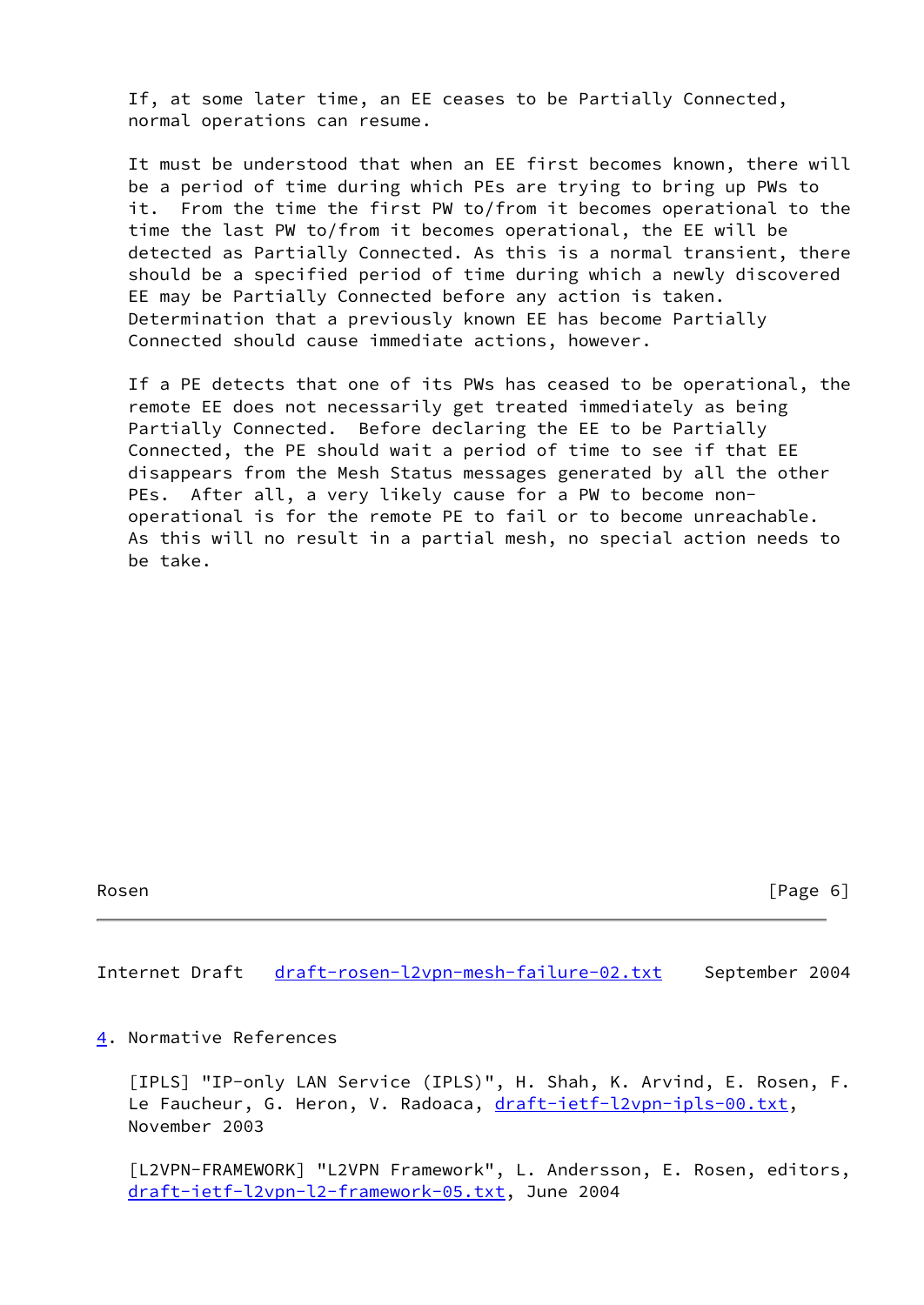If, at some later time, an EE ceases to be Partially Connected, normal operations can resume.

 It must be understood that when an EE first becomes known, there will be a period of time during which PEs are trying to bring up PWs to it. From the time the first PW to/from it becomes operational to the time the last PW to/from it becomes operational, the EE will be detected as Partially Connected. As this is a normal transient, there should be a specified period of time during which a newly discovered EE may be Partially Connected before any action is taken. Determination that a previously known EE has become Partially Connected should cause immediate actions, however.

 If a PE detects that one of its PWs has ceased to be operational, the remote EE does not necessarily get treated immediately as being Partially Connected. Before declaring the EE to be Partially Connected, the PE should wait a period of time to see if that EE disappears from the Mesh Status messages generated by all the other PEs. After all, a very likely cause for a PW to become non operational is for the remote PE to fail or to become unreachable. As this will no result in a partial mesh, no special action needs to be take.

Rosen [Page 6]

<span id="page-6-2"></span>Internet Draft [draft-rosen-l2vpn-mesh-failure-02.txt](https://datatracker.ietf.org/doc/pdf/draft-rosen-l2vpn-mesh-failure-02.txt) September 2004

### <span id="page-6-1"></span>[4](#page-6-1). Normative References

<span id="page-6-0"></span> [IPLS] "IP-only LAN Service (IPLS)", H. Shah, K. Arvind, E. Rosen, F. Le Faucheur, G. Heron, V. Radoaca, [draft-ietf-l2vpn-ipls-00.txt,](https://datatracker.ietf.org/doc/pdf/draft-ietf-l2vpn-ipls-00.txt) November 2003

 [L2VPN-FRAMEWORK] "L2VPN Framework", L. Andersson, E. Rosen, editors, [draft-ietf-l2vpn-l2-framework-05.txt](https://datatracker.ietf.org/doc/pdf/draft-ietf-l2vpn-l2-framework-05.txt), June 2004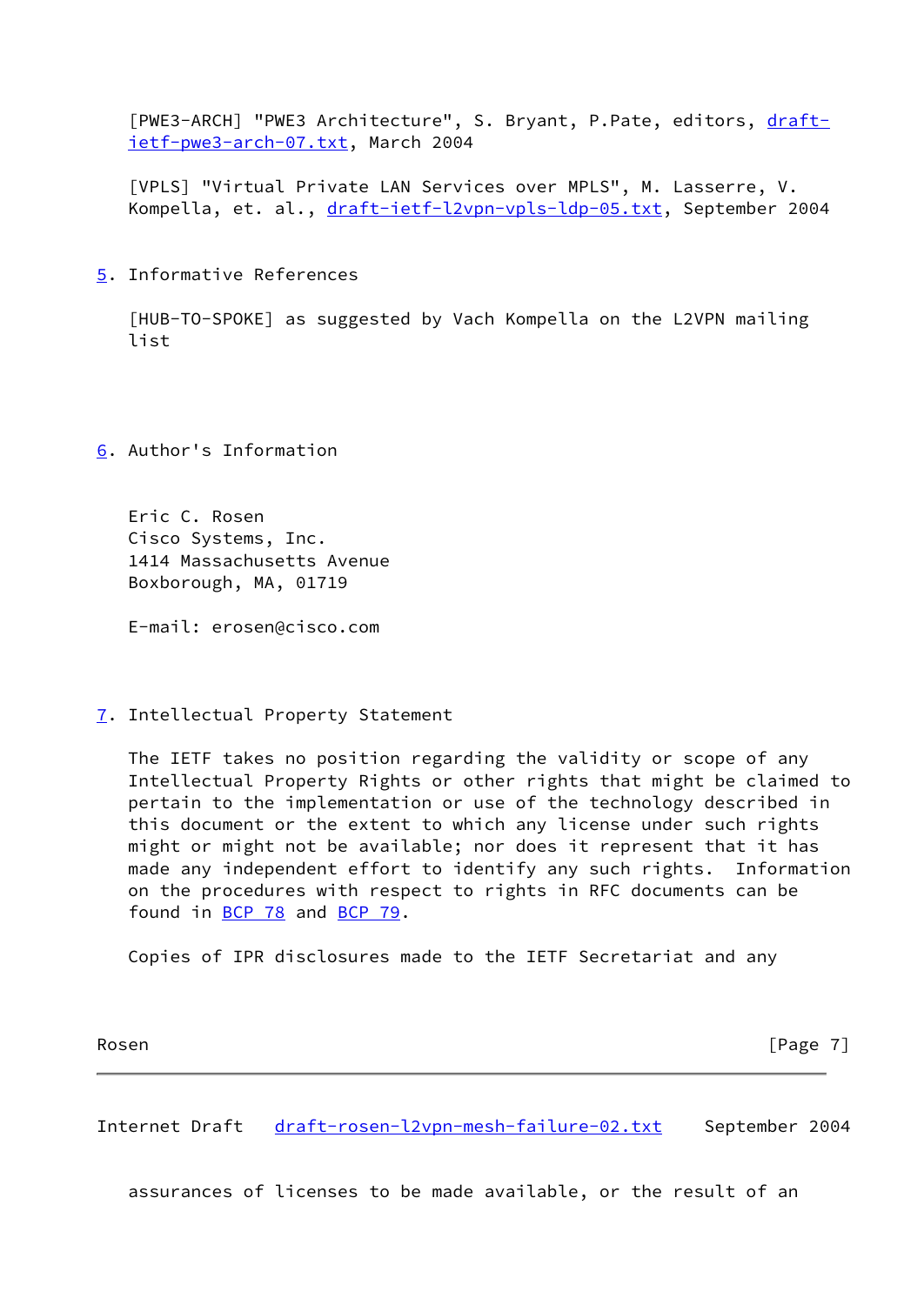<span id="page-7-1"></span>[PWE3-ARCH] "PWE3 Architecture", S. Bryant, P.Pate, editors, [draft](https://datatracker.ietf.org/doc/pdf/draft-ietf-pwe3-arch-07.txt) [ietf-pwe3-arch-07.txt](https://datatracker.ietf.org/doc/pdf/draft-ietf-pwe3-arch-07.txt), March 2004

<span id="page-7-0"></span> [VPLS] "Virtual Private LAN Services over MPLS", M. Lasserre, V. Kompella, et. al., [draft-ietf-l2vpn-vpls-ldp-05.txt,](https://datatracker.ietf.org/doc/pdf/draft-ietf-l2vpn-vpls-ldp-05.txt) September 2004

<span id="page-7-2"></span>[5](#page-7-2). Informative References

<span id="page-7-6"></span> [HUB-TO-SPOKE] as suggested by Vach Kompella on the L2VPN mailing list

<span id="page-7-3"></span>[6](#page-7-3). Author's Information

 Eric C. Rosen Cisco Systems, Inc. 1414 Massachusetts Avenue Boxborough, MA, 01719

E-mail: erosen@cisco.com

<span id="page-7-4"></span>[7](#page-7-4). Intellectual Property Statement

 The IETF takes no position regarding the validity or scope of any Intellectual Property Rights or other rights that might be claimed to pertain to the implementation or use of the technology described in this document or the extent to which any license under such rights might or might not be available; nor does it represent that it has made any independent effort to identify any such rights. Information on the procedures with respect to rights in RFC documents can be found in [BCP 78](https://datatracker.ietf.org/doc/pdf/bcp78) and [BCP 79](https://datatracker.ietf.org/doc/pdf/bcp79).

Copies of IPR disclosures made to the IETF Secretariat and any

Rosen [Page 7]

<span id="page-7-5"></span>Internet Draft [draft-rosen-l2vpn-mesh-failure-02.txt](https://datatracker.ietf.org/doc/pdf/draft-rosen-l2vpn-mesh-failure-02.txt) September 2004

assurances of licenses to be made available, or the result of an